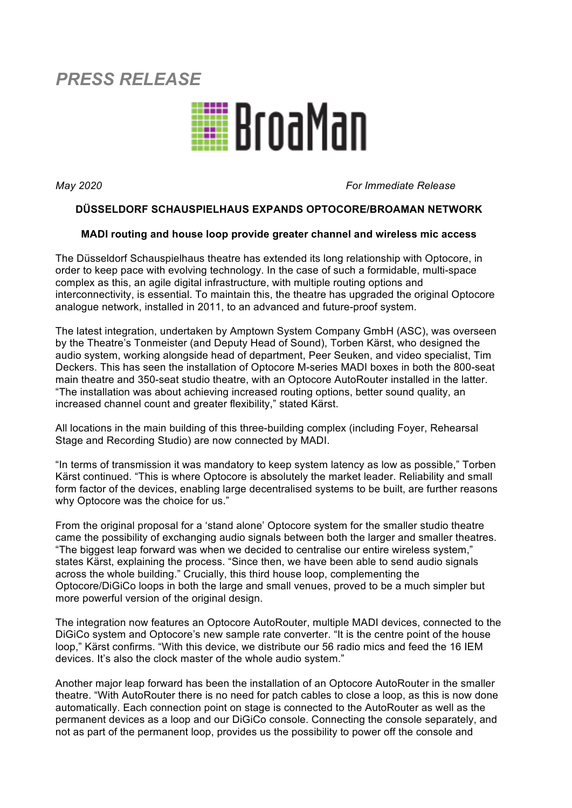# *PRESS RELEASE*



*May 2020 For Immediate Release*

## **DÜSSELDORF SCHAUSPIELHAUS EXPANDS OPTOCORE/BROAMAN NETWORK**

## **MADI routing and house loop provide greater channel and wireless mic access**

The Düsseldorf Schauspielhaus theatre has extended its long relationship with Optocore, in order to keep pace with evolving technology. In the case of such a formidable, multi-space complex as this, an agile digital infrastructure, with multiple routing options and interconnectivity, is essential. To maintain this, the theatre has upgraded the original Optocore analogue network, installed in 2011, to an advanced and future-proof system.

The latest integration, undertaken by Amptown System Company GmbH (ASC), was overseen by the Theatre's Tonmeister (and Deputy Head of Sound), Torben Kärst, who designed the audio system, working alongside head of department, Peer Seuken, and video specialist, Tim Deckers. This has seen the installation of Optocore M-series MADI boxes in both the 800-seat main theatre and 350-seat studio theatre, with an Optocore AutoRouter installed in the latter. "The installation was about achieving increased routing options, better sound quality, an increased channel count and greater flexibility," stated Kärst.

All locations in the main building of this three-building complex (including Foyer, Rehearsal Stage and Recording Studio) are now connected by MADI.

"In terms of transmission it was mandatory to keep system latency as low as possible," Torben Kärst continued. "This is where Optocore is absolutely the market leader. Reliability and small form factor of the devices, enabling large decentralised systems to be built, are further reasons why Optocore was the choice for us."

From the original proposal for a 'stand alone' Optocore system for the smaller studio theatre came the possibility of exchanging audio signals between both the larger and smaller theatres. "The biggest leap forward was when we decided to centralise our entire wireless system," states Kärst, explaining the process. "Since then, we have been able to send audio signals across the whole building." Crucially, this third house loop, complementing the Optocore/DiGiCo loops in both the large and small venues, proved to be a much simpler but more powerful version of the original design.

The integration now features an Optocore AutoRouter, multiple MADI devices, connected to the DiGiCo system and Optocore's new sample rate converter. "It is the centre point of the house loop," Kärst confirms. "With this device, we distribute our 56 radio mics and feed the 16 IEM devices. It's also the clock master of the whole audio system."

Another major leap forward has been the installation of an Optocore AutoRouter in the smaller theatre. "With AutoRouter there is no need for patch cables to close a loop, as this is now done automatically. Each connection point on stage is connected to the AutoRouter as well as the permanent devices as a loop and our DiGiCo console. Connecting the console separately, and not as part of the permanent loop, provides us the possibility to power off the console and